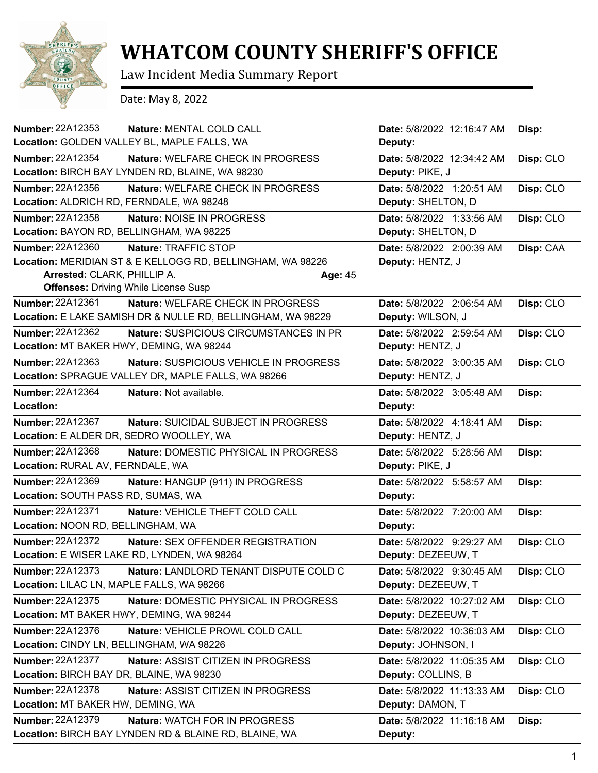

## **WHATCOM COUNTY SHERIFF'S OFFICE**

Law Incident Media Summary Report

Date: May 8, 2022

| <b>Number: 22A12353</b>                   | Nature: MENTAL COLD CALL                                    | Date: 5/8/2022 12:16:47 AM | Disp:     |
|-------------------------------------------|-------------------------------------------------------------|----------------------------|-----------|
|                                           | Location: GOLDEN VALLEY BL, MAPLE FALLS, WA                 | Deputy:                    |           |
| <b>Number: 22A12354</b>                   | Nature: WELFARE CHECK IN PROGRESS                           | Date: 5/8/2022 12:34:42 AM | Disp: CLO |
|                                           | Location: BIRCH BAY LYNDEN RD, BLAINE, WA 98230             | Deputy: PIKE, J            |           |
| Number: 22A12356                          | Nature: WELFARE CHECK IN PROGRESS                           | Date: 5/8/2022 1:20:51 AM  | Disp: CLO |
| Location: ALDRICH RD, FERNDALE, WA 98248  |                                                             | Deputy: SHELTON, D         |           |
| Number: 22A12358                          | Nature: NOISE IN PROGRESS                                   | Date: 5/8/2022 1:33:56 AM  | Disp: CLO |
| Location: BAYON RD, BELLINGHAM, WA 98225  |                                                             | Deputy: SHELTON, D         |           |
| Number: 22A12360                          | Nature: TRAFFIC STOP                                        | Date: 5/8/2022 2:00:39 AM  | Disp: CAA |
|                                           | Location: MERIDIAN ST & E KELLOGG RD, BELLINGHAM, WA 98226  | Deputy: HENTZ, J           |           |
| Arrested: CLARK, PHILLIP A.               | Age: 45                                                     |                            |           |
|                                           | <b>Offenses: Driving While License Susp</b>                 |                            |           |
| Number: 22A12361                          | <b>Nature: WELFARE CHECK IN PROGRESS</b>                    | Date: 5/8/2022 2:06:54 AM  | Disp: CLO |
|                                           | Location: E LAKE SAMISH DR & NULLE RD, BELLINGHAM, WA 98229 | Deputy: WILSON, J          |           |
| Number: 22A12362                          | <b>Nature: SUSPICIOUS CIRCUMSTANCES IN PR</b>               | Date: 5/8/2022 2:59:54 AM  | Disp: CLO |
| Location: MT BAKER HWY, DEMING, WA 98244  |                                                             | Deputy: HENTZ, J           |           |
| Number: 22A12363                          | Nature: SUSPICIOUS VEHICLE IN PROGRESS                      | Date: 5/8/2022 3:00:35 AM  | Disp: CLO |
|                                           | Location: SPRAGUE VALLEY DR, MAPLE FALLS, WA 98266          | Deputy: HENTZ, J           |           |
| <b>Number: 22A12364</b>                   | Nature: Not available.                                      | Date: 5/8/2022 3:05:48 AM  | Disp:     |
| Location:                                 |                                                             | Deputy:                    |           |
| Number: 22A12367                          | Nature: SUICIDAL SUBJECT IN PROGRESS                        | Date: 5/8/2022 4:18:41 AM  | Disp:     |
| Location: E ALDER DR, SEDRO WOOLLEY, WA   |                                                             | Deputy: HENTZ, J           |           |
| Number: 22A12368                          | Nature: DOMESTIC PHYSICAL IN PROGRESS                       | Date: 5/8/2022 5:28:56 AM  | Disp:     |
| Location: RURAL AV, FERNDALE, WA          |                                                             | Deputy: PIKE, J            |           |
| Number: 22A12369                          | Nature: HANGUP (911) IN PROGRESS                            | Date: 5/8/2022 5:58:57 AM  | Disp:     |
| Location: SOUTH PASS RD, SUMAS, WA        |                                                             | Deputy:                    |           |
| <b>Number: 22A12371</b>                   | Nature: VEHICLE THEFT COLD CALL                             | Date: 5/8/2022 7:20:00 AM  | Disp:     |
| Location: NOON RD, BELLINGHAM, WA         |                                                             | Deputy:                    |           |
| Number: 22A12372                          | <b>Nature: SEX OFFENDER REGISTRATION</b>                    | Date: 5/8/2022 9:29:27 AM  | Disp: CLO |
|                                           | Location: E WISER LAKE RD, LYNDEN, WA 98264                 | Deputy: DEZEEUW, T         |           |
| Number: 22A12373                          | Nature: LANDLORD TENANT DISPUTE COLD C                      | Date: 5/8/2022 9:30:45 AM  | Disp: CLO |
| Location: LILAC LN, MAPLE FALLS, WA 98266 |                                                             | Deputy: DEZEEUW, T         |           |
| Number: 22A12375                          | Nature: DOMESTIC PHYSICAL IN PROGRESS                       | Date: 5/8/2022 10:27:02 AM | Disp: CLO |
| Location: MT BAKER HWY, DEMING, WA 98244  |                                                             | Deputy: DEZEEUW, T         |           |
| Number: 22A12376                          | Nature: VEHICLE PROWL COLD CALL                             | Date: 5/8/2022 10:36:03 AM | Disp: CLO |
| Location: CINDY LN, BELLINGHAM, WA 98226  |                                                             | Deputy: JOHNSON, I         |           |
| Number: 22A12377                          | Nature: ASSIST CITIZEN IN PROGRESS                          | Date: 5/8/2022 11:05:35 AM | Disp: CLO |
| Location: BIRCH BAY DR, BLAINE, WA 98230  |                                                             | Deputy: COLLINS, B         |           |
| <b>Number: 22A12378</b>                   | Nature: ASSIST CITIZEN IN PROGRESS                          | Date: 5/8/2022 11:13:33 AM | Disp: CLO |
| Location: MT BAKER HW, DEMING, WA         |                                                             | Deputy: DAMON, T           |           |
| Number: 22A12379                          | Nature: WATCH FOR IN PROGRESS                               | Date: 5/8/2022 11:16:18 AM | Disp:     |
|                                           | Location: BIRCH BAY LYNDEN RD & BLAINE RD, BLAINE, WA       | Deputy:                    |           |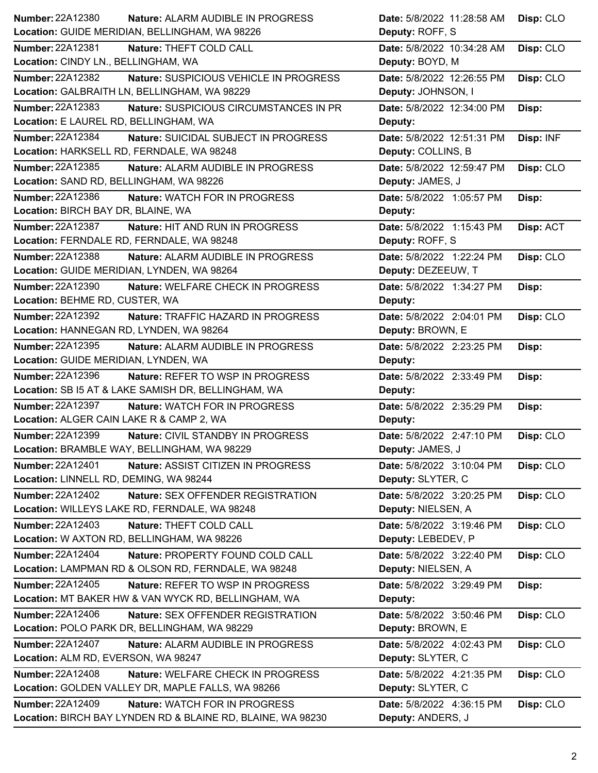| Number: 22A12380                           | Nature: ALARM AUDIBLE IN PROGRESS                           | Date: 5/8/2022 11:28:58 AM | Disp: CLO |
|--------------------------------------------|-------------------------------------------------------------|----------------------------|-----------|
|                                            | Location: GUIDE MERIDIAN, BELLINGHAM, WA 98226              | Deputy: ROFF, S            |           |
| <b>Number: 22A12381</b>                    | Nature: THEFT COLD CALL                                     | Date: 5/8/2022 10:34:28 AM | Disp: CLO |
| Location: CINDY LN., BELLINGHAM, WA        |                                                             | Deputy: BOYD, M            |           |
| <b>Number: 22A12382</b>                    | Nature: SUSPICIOUS VEHICLE IN PROGRESS                      | Date: 5/8/2022 12:26:55 PM | Disp: CLO |
|                                            | Location: GALBRAITH LN, BELLINGHAM, WA 98229                | Deputy: JOHNSON, I         |           |
| <b>Number: 22A12383</b>                    | Nature: SUSPICIOUS CIRCUMSTANCES IN PR                      | Date: 5/8/2022 12:34:00 PM | Disp:     |
| Location: E LAUREL RD, BELLINGHAM, WA      |                                                             | Deputy:                    |           |
| Number: 22A12384                           | Nature: SUICIDAL SUBJECT IN PROGRESS                        | Date: 5/8/2022 12:51:31 PM | Disp: INF |
| Location: HARKSELL RD, FERNDALE, WA 98248  |                                                             | Deputy: COLLINS, B         |           |
| Number: 22A12385                           | Nature: ALARM AUDIBLE IN PROGRESS                           | Date: 5/8/2022 12:59:47 PM | Disp: CLO |
| Location: SAND RD, BELLINGHAM, WA 98226    |                                                             | Deputy: JAMES, J           |           |
| Number: 22A12386                           | Nature: WATCH FOR IN PROGRESS                               | Date: 5/8/2022 1:05:57 PM  | Disp:     |
| Location: BIRCH BAY DR, BLAINE, WA         |                                                             | Deputy:                    |           |
| Number: 22A12387                           | Nature: HIT AND RUN IN PROGRESS                             | Date: 5/8/2022 1:15:43 PM  | Disp: ACT |
| Location: FERNDALE RD, FERNDALE, WA 98248  |                                                             | Deputy: ROFF, S            |           |
| Number: 22A12388                           | Nature: ALARM AUDIBLE IN PROGRESS                           | Date: 5/8/2022 1:22:24 PM  | Disp: CLO |
| Location: GUIDE MERIDIAN, LYNDEN, WA 98264 |                                                             | Deputy: DEZEEUW, T         |           |
| Number: 22A12390                           | Nature: WELFARE CHECK IN PROGRESS                           | Date: 5/8/2022 1:34:27 PM  | Disp:     |
| Location: BEHME RD, CUSTER, WA             |                                                             | Deputy:                    |           |
| <b>Number: 22A12392</b>                    | Nature: TRAFFIC HAZARD IN PROGRESS                          | Date: 5/8/2022 2:04:01 PM  | Disp: CLO |
| Location: HANNEGAN RD, LYNDEN, WA 98264    |                                                             | Deputy: BROWN, E           |           |
| Number: 22A12395                           | Nature: ALARM AUDIBLE IN PROGRESS                           | Date: 5/8/2022 2:23:25 PM  | Disp:     |
| Location: GUIDE MERIDIAN, LYNDEN, WA       |                                                             | Deputy:                    |           |
| <b>Number: 22A12396</b>                    | <b>Nature: REFER TO WSP IN PROGRESS</b>                     | Date: 5/8/2022 2:33:49 PM  | Disp:     |
|                                            | Location: SB I5 AT & LAKE SAMISH DR, BELLINGHAM, WA         | Deputy:                    |           |
| <b>Number: 22A12397</b>                    | Nature: WATCH FOR IN PROGRESS                               | Date: 5/8/2022 2:35:29 PM  | Disp:     |
| Location: ALGER CAIN LAKE R & CAMP 2, WA   |                                                             | Deputy:                    |           |
| <b>Number: 22A12399</b>                    | Nature: CIVIL STANDBY IN PROGRESS                           | Date: 5/8/2022 2:47:10 PM  | Disp: CLO |
|                                            | Location: BRAMBLE WAY, BELLINGHAM, WA 98229                 | Deputy: JAMES, J           |           |
| <b>Number: 22A12401</b>                    | Nature: ASSIST CITIZEN IN PROGRESS                          | Date: 5/8/2022 3:10:04 PM  | Disp: CLO |
| Location: LINNELL RD, DEMING, WA 98244     |                                                             | Deputy: SLYTER, C          |           |
| Number: 22A12402                           | Nature: SEX OFFENDER REGISTRATION                           | Date: 5/8/2022 3:20:25 PM  | Disp: CLO |
|                                            | Location: WILLEYS LAKE RD, FERNDALE, WA 98248               | Deputy: NIELSEN, A         |           |
| Number: 22A12403                           | Nature: THEFT COLD CALL                                     | Date: 5/8/2022 3:19:46 PM  | Disp: CLO |
|                                            | Location: W AXTON RD, BELLINGHAM, WA 98226                  | Deputy: LEBEDEV, P         |           |
| <b>Number: 22A12404</b>                    | Nature: PROPERTY FOUND COLD CALL                            | Date: 5/8/2022 3:22:40 PM  | Disp: CLO |
|                                            | Location: LAMPMAN RD & OLSON RD, FERNDALE, WA 98248         | Deputy: NIELSEN, A         |           |
| Number: 22A12405                           | Nature: REFER TO WSP IN PROGRESS                            | Date: 5/8/2022 3:29:49 PM  | Disp:     |
|                                            | Location: MT BAKER HW & VAN WYCK RD, BELLINGHAM, WA         | Deputy:                    |           |
| Number: 22A12406                           | Nature: SEX OFFENDER REGISTRATION                           | Date: 5/8/2022 3:50:46 PM  | Disp: CLO |
|                                            | Location: POLO PARK DR, BELLINGHAM, WA 98229                | Deputy: BROWN, E           |           |
| Number: 22A12407                           | Nature: ALARM AUDIBLE IN PROGRESS                           | Date: 5/8/2022 4:02:43 PM  | Disp: CLO |
| Location: ALM RD, EVERSON, WA 98247        |                                                             | Deputy: SLYTER, C          |           |
| <b>Number: 22A12408</b>                    | Nature: WELFARE CHECK IN PROGRESS                           | Date: 5/8/2022 4:21:35 PM  | Disp: CLO |
|                                            | Location: GOLDEN VALLEY DR, MAPLE FALLS, WA 98266           | Deputy: SLYTER, C          |           |
| <b>Number: 22A12409</b>                    | Nature: WATCH FOR IN PROGRESS                               | Date: 5/8/2022 4:36:15 PM  | Disp: CLO |
|                                            | Location: BIRCH BAY LYNDEN RD & BLAINE RD, BLAINE, WA 98230 | Deputy: ANDERS, J          |           |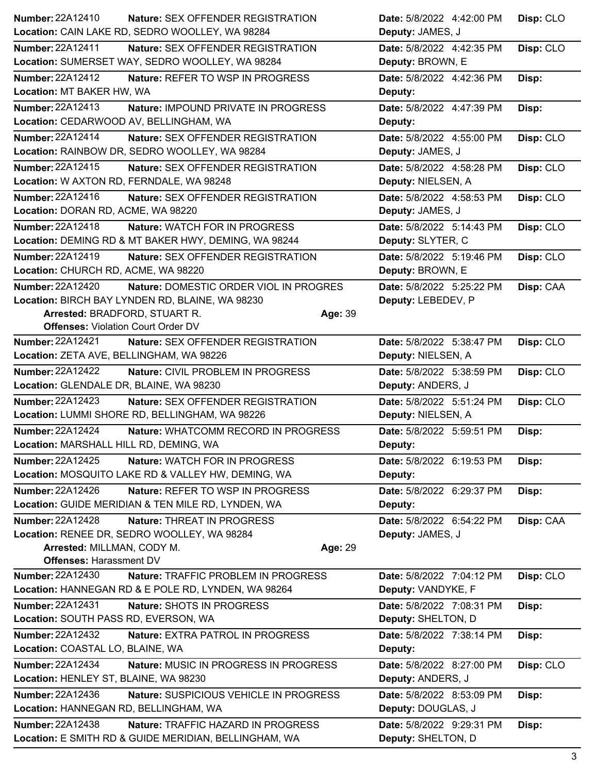| Number: 22A12410<br><b>Nature: SEX OFFENDER REGISTRATION</b>                                             | Date: 5/8/2022 4:42:00 PM                     | Disp: CLO |
|----------------------------------------------------------------------------------------------------------|-----------------------------------------------|-----------|
| Location: CAIN LAKE RD, SEDRO WOOLLEY, WA 98284                                                          | Deputy: JAMES, J                              |           |
| Number: 22A12411<br>Nature: SEX OFFENDER REGISTRATION<br>Location: SUMERSET WAY, SEDRO WOOLLEY, WA 98284 | Date: 5/8/2022 4:42:35 PM<br>Deputy: BROWN, E | Disp: CLO |
| <b>Number: 22A12412</b><br><b>Nature: REFER TO WSP IN PROGRESS</b>                                       | Date: 5/8/2022 4:42:36 PM                     | Disp:     |
| Location: MT BAKER HW, WA                                                                                | Deputy:                                       |           |
| <b>Number: 22A12413</b><br>Nature: IMPOUND PRIVATE IN PROGRESS                                           | Date: 5/8/2022 4:47:39 PM                     | Disp:     |
| Location: CEDARWOOD AV, BELLINGHAM, WA                                                                   | Deputy:                                       |           |
| <b>Number: 22A12414</b><br>Nature: SEX OFFENDER REGISTRATION                                             | Date: 5/8/2022 4:55:00 PM                     | Disp: CLO |
| Location: RAINBOW DR, SEDRO WOOLLEY, WA 98284                                                            | Deputy: JAMES, J                              |           |
| <b>Number: 22A12415</b><br>Nature: SEX OFFENDER REGISTRATION                                             | Date: 5/8/2022 4:58:28 PM                     | Disp: CLO |
| Location: W AXTON RD, FERNDALE, WA 98248                                                                 | Deputy: NIELSEN, A                            |           |
| Number: 22A12416<br>Nature: SEX OFFENDER REGISTRATION                                                    | Date: 5/8/2022 4:58:53 PM                     | Disp: CLO |
| Location: DORAN RD, ACME, WA 98220                                                                       | Deputy: JAMES, J                              |           |
| Number: 22A12418<br>Nature: WATCH FOR IN PROGRESS                                                        | Date: 5/8/2022 5:14:43 PM                     | Disp: CLO |
| Location: DEMING RD & MT BAKER HWY, DEMING, WA 98244                                                     | Deputy: SLYTER, C                             |           |
| Number: 22A12419<br>Nature: SEX OFFENDER REGISTRATION                                                    | Date: 5/8/2022 5:19:46 PM                     | Disp: CLO |
| Location: CHURCH RD, ACME, WA 98220                                                                      | Deputy: BROWN, E                              |           |
| Number: 22A12420<br>Nature: DOMESTIC ORDER VIOL IN PROGRES                                               | Date: 5/8/2022 5:25:22 PM                     | Disp: CAA |
| Location: BIRCH BAY LYNDEN RD, BLAINE, WA 98230                                                          | Deputy: LEBEDEV, P                            |           |
| Arrested: BRADFORD, STUART R.<br>Age: 39<br><b>Offenses: Violation Court Order DV</b>                    |                                               |           |
| <b>Number: 22A12421</b><br>Nature: SEX OFFENDER REGISTRATION                                             | Date: 5/8/2022 5:38:47 PM                     |           |
| Location: ZETA AVE, BELLINGHAM, WA 98226                                                                 | Deputy: NIELSEN, A                            | Disp: CLO |
| <b>Number: 22A12422</b><br>Nature: CIVIL PROBLEM IN PROGRESS                                             | Date: 5/8/2022 5:38:59 PM                     | Disp: CLO |
| Location: GLENDALE DR, BLAINE, WA 98230                                                                  | Deputy: ANDERS, J                             |           |
| <b>Number: 22A12423</b><br>Nature: SEX OFFENDER REGISTRATION                                             | Date: 5/8/2022 5:51:24 PM                     | Disp: CLO |
| Location: LUMMI SHORE RD, BELLINGHAM, WA 98226                                                           | Deputy: NIELSEN, A                            |           |
| <b>Number: 22A12424</b><br>Nature: WHATCOMM RECORD IN PROGRESS                                           | Date: 5/8/2022 5:59:51 PM                     | Disp:     |
| Location: MARSHALL HILL RD, DEMING, WA                                                                   | Deputy:                                       |           |
| <b>Number: 22A12425</b><br>Nature: WATCH FOR IN PROGRESS                                                 | Date: 5/8/2022 6:19:53 PM                     | Disp:     |
| Location: MOSQUITO LAKE RD & VALLEY HW, DEMING, WA                                                       | Deputy:                                       |           |
| Number: 22A12426<br>Nature: REFER TO WSP IN PROGRESS                                                     | Date: 5/8/2022 6:29:37 PM                     | Disp:     |
| Location: GUIDE MERIDIAN & TEN MILE RD, LYNDEN, WA                                                       | Deputy:                                       |           |
| Number: 22A12428<br>Nature: THREAT IN PROGRESS                                                           | Date: 5/8/2022 6:54:22 PM                     | Disp: CAA |
| Location: RENEE DR, SEDRO WOOLLEY, WA 98284                                                              | Deputy: JAMES, J                              |           |
| Arrested: MILLMAN, CODY M.<br>Age: 29<br><b>Offenses: Harassment DV</b>                                  |                                               |           |
| <b>Number: 22A12430</b><br>Nature: TRAFFIC PROBLEM IN PROGRESS                                           | Date: 5/8/2022 7:04:12 PM                     |           |
| Location: HANNEGAN RD & E POLE RD, LYNDEN, WA 98264                                                      | Deputy: VANDYKE, F                            | Disp: CLO |
| <b>Number: 22A12431</b><br>Nature: SHOTS IN PROGRESS                                                     | Date: 5/8/2022 7:08:31 PM                     | Disp:     |
| Location: SOUTH PASS RD, EVERSON, WA                                                                     | Deputy: SHELTON, D                            |           |
| Number: 22A12432<br>Nature: EXTRA PATROL IN PROGRESS                                                     | Date: 5/8/2022 7:38:14 PM                     | Disp:     |
| Location: COASTAL LO, BLAINE, WA                                                                         | Deputy:                                       |           |
| <b>Number: 22A12434</b><br>Nature: MUSIC IN PROGRESS IN PROGRESS                                         | Date: 5/8/2022 8:27:00 PM                     | Disp: CLO |
| Location: HENLEY ST, BLAINE, WA 98230                                                                    | Deputy: ANDERS, J                             |           |
| <b>Number: 22A12436</b><br>Nature: SUSPICIOUS VEHICLE IN PROGRESS                                        | Date: 5/8/2022 8:53:09 PM                     | Disp:     |
| Location: HANNEGAN RD, BELLINGHAM, WA                                                                    | Deputy: DOUGLAS, J                            |           |
| Number: 22A12438<br>Nature: TRAFFIC HAZARD IN PROGRESS                                                   | Date: 5/8/2022 9:29:31 PM                     | Disp:     |
| Location: E SMITH RD & GUIDE MERIDIAN, BELLINGHAM, WA                                                    | Deputy: SHELTON, D                            |           |